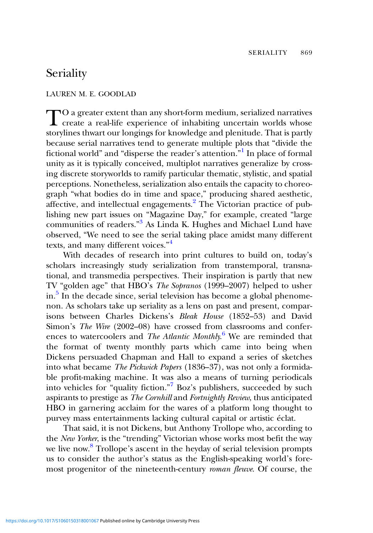## **Seriality**

## LAUREN M. E. GOODLAD

TO a greater extent than any short-form medium, serialized narratives<br>create a real-life experience of inhabiting uncertain worlds whose storylines thwart our longings for knowledge and plenitude. That is partly because serial narratives tend to generate multiple plots that "divide the fictional world" and "disperse the reader's attention." [1](#page-2-0) In place of formal unity as it is typically conceived, multiplot narratives generalize by crossing discrete storyworlds to ramify particular thematic, stylistic, and spatial perceptions. Nonetheless, serialization also entails the capacity to choreograph "what bodies do in time and space," producing shared aesthetic, affective, and intellectual engagements[.2](#page-2-0) The Victorian practice of publishing new part issues on "Magazine Day," for example, created "large communities of readers."<sup>[3](#page-2-0)</sup> As Linda K. Hughes and Michael Lund have observed, "We need to see the serial taking place amidst many different texts, and many different voices."<sup>[4](#page-2-0)</sup>

With decades of research into print cultures to build on, today's scholars increasingly study serialization from transtemporal, transnational, and transmedia perspectives. Their inspiration is partly that new TV "golden age" that HBO's The Sopranos (1999–2007) helped to usher in.<sup>3</sup> In the decade since, serial television has become a global phenomenon. As scholars take up seriality as a lens on past and present, comparisons between Charles Dickens's Bleak House (1852–53) and David Simon's The Wire (2002–08) have crossed from classrooms and conferences to watercoolers and *The Atlantic Monthly.*<sup>[6](#page-2-0)</sup> We are reminded that the format of twenty monthly parts which came into being when Dickens persuaded Chapman and Hall to expand a series of sketches into what became The Pickwick Papers (1836–37), was not only a formidable profit-making machine. It was also a means of turning periodicals into vehicles for "quality fiction." [7](#page-3-0) Boz's publishers, succeeded by such aspirants to prestige as The Cornhill and Fortnightly Review, thus anticipated HBO in garnering acclaim for the wares of a platform long thought to purvey mass entertainments lacking cultural capital or artistic éclat.

That said, it is not Dickens, but Anthony Trollope who, according to the New Yorker, is the "trending" Victorian whose works most befit the way we live now.<sup>[8](#page-3-0)</sup> Trollope's ascent in the heyday of serial television prompts us to consider the author's status as the English-speaking world's foremost progenitor of the nineteenth-century roman fleuve. Of course, the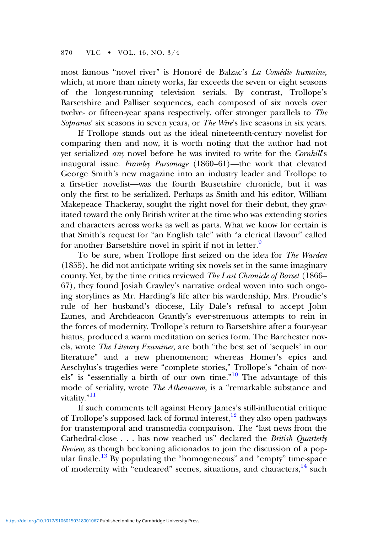most famous "novel river" is Honoré de Balzac's La Comédie humaine, which, at more than ninety works, far exceeds the seven or eight seasons of the longest-running television serials. By contrast, Trollope's Barsetshire and Palliser sequences, each composed of six novels over twelve- or fifteen-year spans respectively, offer stronger parallels to The Sopranos' six seasons in seven years, or *The Wire's* five seasons in six years.

If Trollope stands out as the ideal nineteenth-century novelist for comparing then and now, it is worth noting that the author had not yet serialized any novel before he was invited to write for the Cornhill's inaugural issue. Framley Parsonage (1860–61)—the work that elevated George Smith's new magazine into an industry leader and Trollope to a first-tier novelist—was the fourth Barsetshire chronicle, but it was only the first to be serialized. Perhaps as Smith and his editor, William Makepeace Thackeray, sought the right novel for their debut, they gravitated toward the only British writer at the time who was extending stories and characters across works as well as parts. What we know for certain is that Smith's request for "an English tale" with "a clerical flavour" called for another Barsetshire novel in spirit if not in letter.<sup>[9](#page-3-0)</sup>

To be sure, when Trollope first seized on the idea for The Warden (1855), he did not anticipate writing six novels set in the same imaginary county. Yet, by the time critics reviewed *The Last Chronicle of Barset* (1866– 67), they found Josiah Crawley's narrative ordeal woven into such ongoing storylines as Mr. Harding's life after his wardenship, Mrs. Proudie's rule of her husband's diocese, Lily Dale's refusal to accept John Eames, and Archdeacon Grantly's ever-strenuous attempts to rein in the forces of modernity. Trollope's return to Barsetshire after a four-year hiatus, produced a warm meditation on series form. The Barchester novels, wrote The Literary Examiner, are both "the best set of 'sequels' in our literature" and a new phenomenon; whereas Homer's epics and Aeschylus's tragedies were "complete stories," Trollope's "chain of nov-els" is "essentially a birth of our own time."<sup>[10](#page-3-0)</sup> The advantage of this mode of seriality, wrote The Athenaeum, is a "remarkable substance and vitality."<sup>[11](#page-3-0)</sup>

If such comments tell against Henry James's still-influential critique of Trollope's supposed lack of formal interest, $12$  they also open pathways for transtemporal and transmedia comparison. The "last news from the Cathedral-close . . . has now reached us" declared the *British Quarterly* Review, as though beckoning aficionados to join the discussion of a pop-ular finale.<sup>[13](#page-3-0)</sup> By populating the "homogeneous" and "empty" time-space of modernity with "endeared" scenes, situations, and characters, <sup>[14](#page-3-0)</sup> such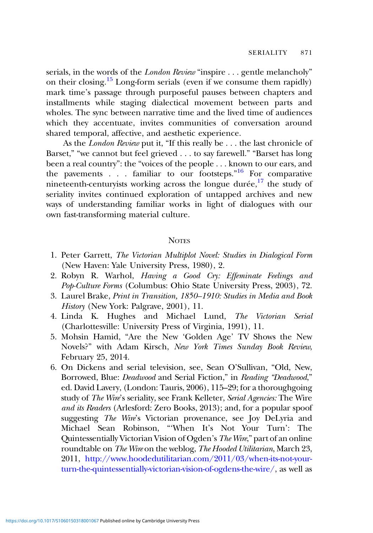<span id="page-2-0"></span>serials, in the words of the *London Review* "inspire . . . gentle melancholy" on their closing.<sup>[15](#page-3-0)</sup> Long-form serials (even if we consume them rapidly) mark time's passage through purposeful pauses between chapters and installments while staging dialectical movement between parts and wholes. The sync between narrative time and the lived time of audiences which they accentuate, invites communities of conversation around shared temporal, affective, and aesthetic experience.

As the *London Review* put it, "If this really be . . . the last chronicle of Barset," "we cannot but feel grieved . . . to say farewell." "Barset has long been a real country": the "voices of the people . . . known to our ears, and the pavements . . . familiar to our footsteps."<sup>[16](#page-3-0)</sup> For comparative nineteenth-centuryists working across the longue durée, $17$  the study of seriality invites continued exploration of untapped archives and new ways of understanding familiar works in light of dialogues with our own fast-transforming material culture.

## **NOTES**

- 1. Peter Garrett, The Victorian Multiplot Novel: Studies in Dialogical Form (New Haven: Yale University Press, 1980), 2.
- 2. Robyn R. Warhol, Having a Good Cry: Effeminate Feelings and Pop-Culture Forms (Columbus: Ohio State University Press, 2003), 72.
- 3. Laurel Brake, Print in Transition, 1850–1910: Studies in Media and Book History (New York: Palgrave, 2001), 11.
- 4. Linda K. Hughes and Michael Lund, The Victorian Serial (Charlottesville: University Press of Virginia, 1991), 11.
- 5. Mohsin Hamid, "Are the New 'Golden Age' TV Shows the New Novels?" with Adam Kirsch, New York Times Sunday Book Review, February 25, 2014.
- 6. On Dickens and serial television, see, Sean O'Sullivan, "Old, New, Borrowed, Blue: Deadwood and Serial Fiction," in Reading "Deadwood," ed. David Lavery, (London: Tauris, 2006), 115–29; for a thoroughgoing study of The Wire's seriality, see Frank Kelleter, Serial Agencies: The Wire and its Readers (Arlesford: Zero Books, 2013); and, for a popular spoof suggesting The Wire's Victorian provenance, see Joy DeLyria and Michael Sean Robinson, "'When It's Not Your Turn': The Quintessentially Victorian Vision of Ogden's The Wire," part of an online roundtable on The Wire on the weblog, The Hooded Utilitarian, March 23, 2011, [http://www.hoodedutilitarian.com/2011/03/when-its-not-your](http://www.hoodedutilitarian.com/2011/03/when-its-not-your-turn-the-quintessentially-victorian-vision-of-ogdens-the-wire/)[turn-the-quintessentially-victorian-vision-of-ogdens-the-wire/](http://www.hoodedutilitarian.com/2011/03/when-its-not-your-turn-the-quintessentially-victorian-vision-of-ogdens-the-wire/), as well as